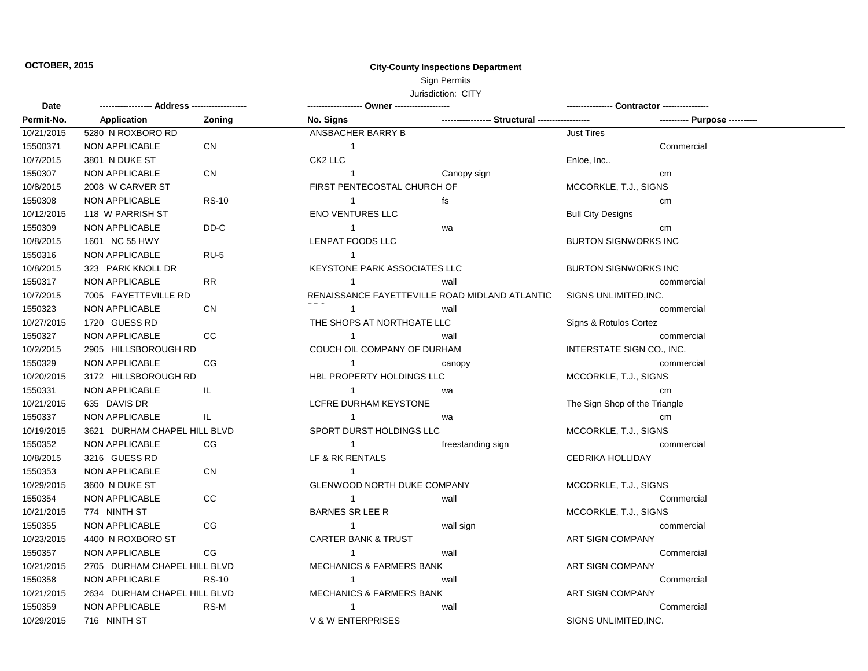## **OCTOBER, 2015 City-County Inspections Department**

## Sign Permits

## Jurisdiction: CITY

| Date       |                              |              |                                                |                                                 |                               |                               |
|------------|------------------------------|--------------|------------------------------------------------|-------------------------------------------------|-------------------------------|-------------------------------|
| Permit-No. | Application                  | Zoning       | No. Signs                                      | ----------------- Structural ------------------ |                               | ---------- Purpose ---------- |
| 10/21/2015 | 5280 N ROXBORO RD            |              | ANSBACHER BARRY B                              |                                                 | <b>Just Tires</b>             |                               |
| 15500371   | NON APPLICABLE               | <b>CN</b>    | $\sim$ 1                                       |                                                 |                               | Commercial                    |
| 10/7/2015  | 3801 N DUKE ST               |              | CK2 LLC                                        |                                                 | Enloe, Inc                    |                               |
| 1550307    | <b>NON APPLICABLE</b>        | <b>CN</b>    | $\overline{1}$                                 | Canopy sign                                     |                               | cm                            |
| 10/8/2015  | 2008 W CARVER ST             |              | FIRST PENTECOSTAL CHURCH OF                    |                                                 | MCCORKLE, T.J., SIGNS         |                               |
| 1550308    | NON APPLICABLE               | <b>RS-10</b> | $\mathbf{1}$                                   | fs                                              |                               | cm                            |
| 10/12/2015 | 118 W PARRISH ST             |              | <b>ENO VENTURES LLC</b>                        |                                                 | <b>Bull City Designs</b>      |                               |
| 1550309    | <b>NON APPLICABLE</b>        | DD-C         | $\mathbf{1}$                                   | wa                                              |                               | cm                            |
| 10/8/2015  | 1601 NC 55 HWY               |              | LENPAT FOODS LLC                               |                                                 | <b>BURTON SIGNWORKS INC</b>   |                               |
| 1550316    | NON APPLICABLE               | $RU-5$       | $\overline{1}$                                 |                                                 |                               |                               |
| 10/8/2015  | 323 PARK KNOLL DR            |              | <b>KEYSTONE PARK ASSOCIATES LLC</b>            |                                                 | <b>BURTON SIGNWORKS INC</b>   |                               |
| 1550317    | <b>NON APPLICABLE</b>        | <b>RR</b>    | $\mathbf{1}$                                   | wall                                            |                               | commercial                    |
| 10/7/2015  | 7005 FAYETTEVILLE RD         |              | RENAISSANCE FAYETTEVILLE ROAD MIDLAND ATLANTIC |                                                 | SIGNS UNLIMITED, INC.         |                               |
| 1550323    | NON APPLICABLE               | <b>CN</b>    | $\overline{1}$                                 | wall                                            |                               | commercial                    |
| 10/27/2015 | 1720 GUESS RD                |              | THE SHOPS AT NORTHGATE LLC                     |                                                 | Signs & Rotulos Cortez        |                               |
| 1550327    | <b>NON APPLICABLE</b>        | CC           | $\mathbf{1}$                                   | wall                                            |                               | commercial                    |
| 10/2/2015  | 2905 HILLSBOROUGH RD         |              | COUCH OIL COMPANY OF DURHAM                    |                                                 | INTERSTATE SIGN CO., INC.     |                               |
| 1550329    | <b>NON APPLICABLE</b>        | CG           | $\overline{1}$                                 | canopy                                          |                               | commercial                    |
| 10/20/2015 | 3172 HILLSBOROUGH RD         |              | HBL PROPERTY HOLDINGS LLC                      |                                                 | MCCORKLE, T.J., SIGNS         |                               |
| 1550331    | <b>NON APPLICABLE</b>        | IL.          | $\overline{1}$                                 | wa                                              |                               | cm                            |
| 10/21/2015 | 635 DAVIS DR                 |              | LCFRE DURHAM KEYSTONE                          |                                                 | The Sign Shop of the Triangle |                               |
| 1550337    | <b>NON APPLICABLE</b>        | IL.          | $\overline{1}$                                 | wa                                              |                               | cm                            |
| 10/19/2015 | 3621 DURHAM CHAPEL HILL BLVD |              | SPORT DURST HOLDINGS LLC                       |                                                 | MCCORKLE, T.J., SIGNS         |                               |
| 1550352    | <b>NON APPLICABLE</b>        | CG           | $\overline{1}$                                 | freestanding sign                               |                               | commercial                    |
| 10/8/2015  | 3216 GUESS RD                |              | LF & RK RENTALS                                |                                                 | <b>CEDRIKA HOLLIDAY</b>       |                               |
| 1550353    | <b>NON APPLICABLE</b>        | <b>CN</b>    | $\overline{1}$                                 |                                                 |                               |                               |
| 10/29/2015 | 3600 N DUKE ST               |              | GLENWOOD NORTH DUKE COMPANY                    |                                                 | MCCORKLE, T.J., SIGNS         |                               |
| 1550354    | <b>NON APPLICABLE</b>        | CC           | $\mathbf{1}$                                   | wall                                            |                               | Commercial                    |
| 10/21/2015 | 774 NINTH ST                 |              | <b>BARNES SR LEE R</b>                         |                                                 | MCCORKLE, T.J., SIGNS         |                               |
| 1550355    | <b>NON APPLICABLE</b>        | CG           | $\mathbf{1}$                                   | wall sign                                       |                               | commercial                    |
| 10/23/2015 | 4400 N ROXBORO ST            |              | <b>CARTER BANK &amp; TRUST</b>                 |                                                 | ART SIGN COMPANY              |                               |
| 1550357    | <b>NON APPLICABLE</b>        | CG           | $\overline{1}$                                 | wall                                            |                               | Commercial                    |
| 10/21/2015 | 2705 DURHAM CHAPEL HILL BLVD |              | <b>MECHANICS &amp; FARMERS BANK</b>            |                                                 | ART SIGN COMPANY              |                               |
| 1550358    | <b>NON APPLICABLE</b>        | <b>RS-10</b> | $\overline{1}$                                 | wall                                            |                               | Commercial                    |
| 10/21/2015 | 2634 DURHAM CHAPEL HILL BLVD |              | <b>MECHANICS &amp; FARMERS BANK</b>            |                                                 | ART SIGN COMPANY              |                               |
| 1550359    | <b>NON APPLICABLE</b>        | RS-M         | $\mathbf{1}$                                   | wall                                            |                               | Commercial                    |
| 10/29/2015 | 716 NINTH ST                 |              | <b>V &amp; W ENTERPRISES</b>                   |                                                 | SIGNS UNLIMITED, INC.         |                               |